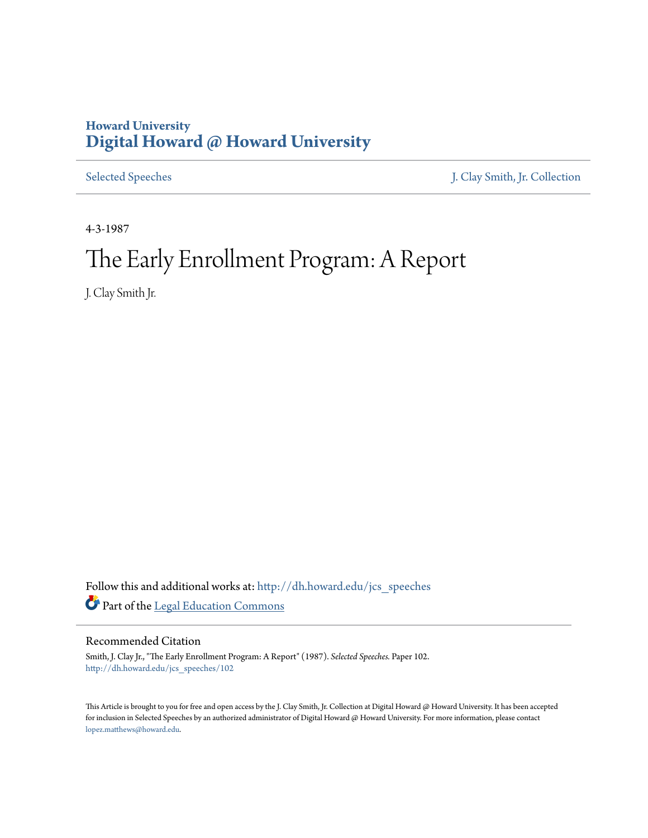# **Howard University [Digital Howard @ Howard University](http://dh.howard.edu?utm_source=dh.howard.edu%2Fjcs_speeches%2F102&utm_medium=PDF&utm_campaign=PDFCoverPages)**

[Selected Speeches](http://dh.howard.edu/jcs_speeches?utm_source=dh.howard.edu%2Fjcs_speeches%2F102&utm_medium=PDF&utm_campaign=PDFCoverPages) [J. Clay Smith, Jr. Collection](http://dh.howard.edu/jcsmith?utm_source=dh.howard.edu%2Fjcs_speeches%2F102&utm_medium=PDF&utm_campaign=PDFCoverPages)

4-3-1987

# The Early Enrollment Program: A Report

J. Clay Smith Jr.

Follow this and additional works at: [http://dh.howard.edu/jcs\\_speeches](http://dh.howard.edu/jcs_speeches?utm_source=dh.howard.edu%2Fjcs_speeches%2F102&utm_medium=PDF&utm_campaign=PDFCoverPages) Part of the [Legal Education Commons](http://network.bepress.com/hgg/discipline/857?utm_source=dh.howard.edu%2Fjcs_speeches%2F102&utm_medium=PDF&utm_campaign=PDFCoverPages)

Recommended Citation

Smith, J. Clay Jr., "The Early Enrollment Program: A Report" (1987). *Selected Speeches.* Paper 102. [http://dh.howard.edu/jcs\\_speeches/102](http://dh.howard.edu/jcs_speeches/102?utm_source=dh.howard.edu%2Fjcs_speeches%2F102&utm_medium=PDF&utm_campaign=PDFCoverPages)

This Article is brought to you for free and open access by the J. Clay Smith, Jr. Collection at Digital Howard @ Howard University. It has been accepted for inclusion in Selected Speeches by an authorized administrator of Digital Howard @ Howard University. For more information, please contact [lopez.matthews@howard.edu.](mailto:lopez.matthews@howard.edu)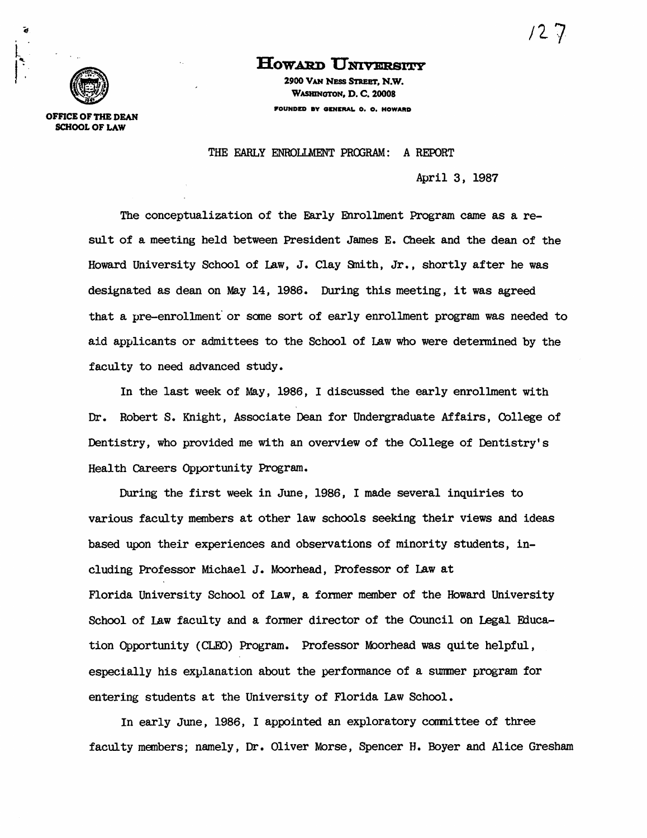/2 7·



OFFICE OF THE DEAN SCHOOL OF LAW

# **HOWARD UNIVERSITY**

2900 VAN NESS STREET, N.W. WASHINGTON, D. C. 20008 FOUNDED BV OENERAL. O. O. HOWARD

THE EARLY ENROLLMENT PROGRAM: A REPORT

April 3, 1987

The conceptualization of the Early Enrollment Program came as a result of a meeting held between President James E. Cheek and the dean of the Howard University School of Law, J. Clay Smith, Jr., shortly after he was designated as dean on May 14, 1986. During this meeting, it was agreed that a pre-enrollment or some sort of early enrollment program was needed to aid applicants or admit tees to the School of Law who were detenmined by the faculty to need advanced study.

In the last week of May, 1986, I discussed the early enrollment with Dr. Robert S. Knight, Associate Dean for Undergraduate Affairs, College of Dentistry, who provided me with an overview of the College of Dentistry's Health Careers Opportunity Program.

During the first week in June, 1986, I made several inquiries to various faculty members at other law schools seeking their views and ideas based upon their experiences and observations of minority students, ineluding Professor Michael J. Moorhead, Professor of Law at Florida University School of Law, a former member of the Howard University School of law faculty and a fonner director of the Council on legal Fducation Opportunity (CLEO) Program. Professor Moorhead was quite helpful, especially his explanation about the perfonmance of a summer program for entering students at the University of Florida Law School.

In early June, 1986, I appointed an exploratory committee of three faculty members; namely, Dr. Oliver Morse, Spencer H. Boyer and Alice Gresham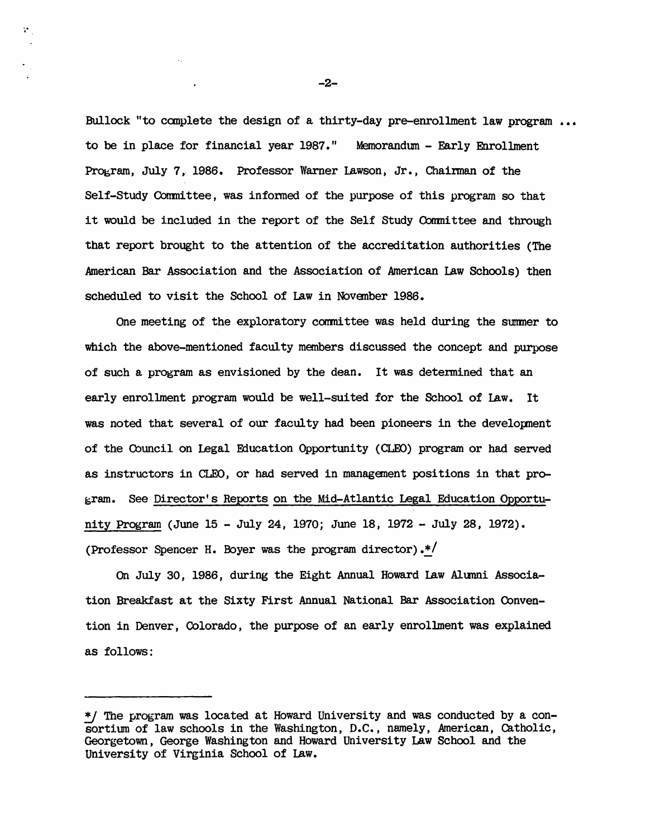Bullock "to complete the design of a thirty-day pre-enrollment law program  $\ldots$ to be in place for financial year 1987." Memorandun - Early Enrollment Program, July 7, 1986. Professor Warner Lawson, Jr., Chairman of the Self-Study Committee, was informed of the purpose of this program so that it would be included in the report of the Self Study Committee and through that report brought to the attention of the accreditation authorities (The American Bar Association and the Association of American Law Schools) then scheduled to visit the School of Law in Novanber 1986.

One meeting of the exploratory committee was held during the summer to which the above-mentioned faculty members discussed the concept and purpose of such a program as envisioned by the dean. It was determined that an early enrollment program would be well-suited for the School of Law. It was noted that several of our faculty had been pioneers in the development of the Council on Legal Education Opportunity (CLEO) program or had served as instructors in CLEO, or had served in management positions in that program. See Director's Reports on the Mid-Atlantic Legal Education Opportunity Program (June 15 - July 24, 1970; June 18, 1972 - July 28, 1972). (Professor Spencer H. Boyer was the program director) .\*/

On July 30, 1986, during the Eight Annual Howard Law Alunni Association Breakfast at the Sixty First Annual National Bar Association Oonvention in Denver, Colorado, the purpose of an early enrollment was explained as follows:

-2-

,<br>ম<sub>া</sub>

<sup>\*/</sup> The program was located at Howard University and was conducted by a consortium of law schools in the Washington, D.C., namely, American, catholic, Georgetown, George Washington and Howard University Law School and the University of Virginia School of Law.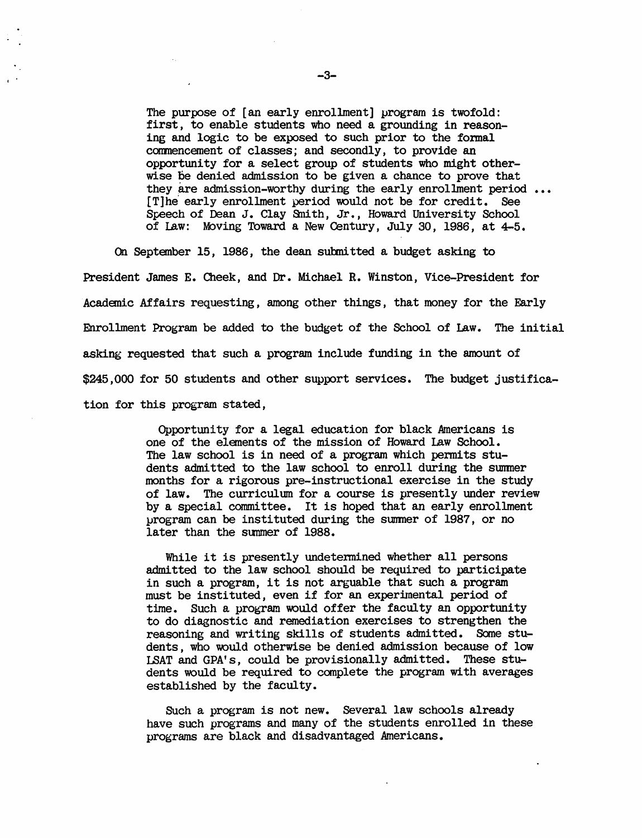The purpose of [an early enrollment] program is twofold: first, to enable students who need a grounding in reasoning and logic to be exposed to such prior to the fozmal commencement of classes; and secondly, to provide an opportunity for a select group of students who might otherwise be denied admission to be given a chance to prove that whise be defined admission to be given a chance to prove that<br>they are admission-worthy during the early enrollment period ... [T]he early enrollment period would not be for credit. See Speech of Dean J. Clay Smith, Jr., Howard University School of law: Moving Toward a New Century, July 30, 1986, at 4-5.

On September 15, 1986, the dean sutmi tted a budget asking to President James E. Cheek, and Dr. Michael R. Winston, Vice-President for Academic Affairs requesting, among other things, that money for the Early Enrollment Program be added to the budget of the School of Law. The initial asking requested that such a program include funding in the amount of \$245,000 for 50 students and other support services. The budget justification for this program stated,

> Opportunity for a legal education for black Americans is one of the elements of the mission of Howard law School. The law school is in need of a program which permits students admitted to the law school to enroll during the summer months for a rigorous pre-instructional exercise in the study of law. The curriculum for a course is presently under review by a special committee. It is hoped that an early enrollment lJrogram can be instituted during the sumner of 1987, or no later than the summer of 1988.

While it is presently undetermined whether all persons admitted to the law school should be required to participate in such a program, it is not arguable that such a program must be instituted, even if for an experimental period of time. Such a program would offer the faculty an opportunity to do diagnostic and remediation exercises to strengthen the reasoning and writing skills of students admitted. Some students, who would otherwise be denied admission because of low LSAT and GPA' s, could be provisionally admitted. These students would be required to complete the program with averages established by the faculty.

Such a program is not new. Several law schools already have such programs and many of the students enrolled in these programs are black and disadvantaged Americans.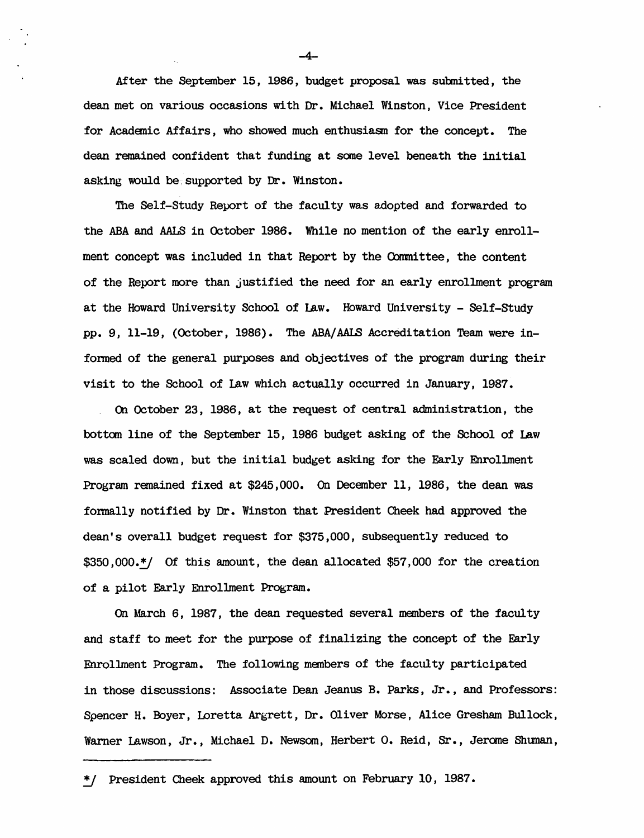After the September 15, 1986, budget proposal was submitted, the dean met on various occasions with Dr. Michael Winston, Vice President for Acadanic Affairs, who showed much enthusiasn for the concept. The dean remained confident that funding at some level beneath the initial asking would be, supported by Dr. Winston.

The Self-Study Report of the faculty was adopted and forwarded to the ABA and AALS in October 1986. While no mention of the early enrollment concept was included in that Report by the Committee, the content of the Report more than justified the need for an early enrolLment program at the Howard University School of Law. Howard University - Self-Study pp. 9, 11-19, (Octoher, 1986). The ABA/AAlB Accreditation Team were infonmed of the general purposes and objectives of the program during their visit to the School of Law which actually occurred in January, 1987.

On October 23, 1986, at the request of central administration, the bottan line of the Septanber 15, 1986 budget asking of the School of Law was scaled down, but the initial budget asking for the Early Enrollment Program ranained fixed at \$245,000. On December 11, 1986, the dean was fonnally notified by Dr. Winston that President Cheek had approved the dean's overall budget request for \$375,000, subsequently reduced to \$350,000.\*/ Of this amount, the dean allocated \$57,000 for the creation of a pilot Early EnrolLment Program.

On March 6, 1987, the dean requested several members of the faculty and staff to meet for the purpose of finalizing the concept of the Early Enrollment Program. The following members of the faculty participated in those discussions: Associate Dean Jeanus B. Parks, Jr., and Professors: Spencer H. Boyer, lDretta Argrett, Dr • Oliver Morse, Alice Gresham Bullock, Warner Lawson, Jr., Michael D. Newsom, Herbert O. Reid, Sr., Jerome Shuman,

-4-

<sup>~</sup> President Cheek approved this amount on February 10, 1987.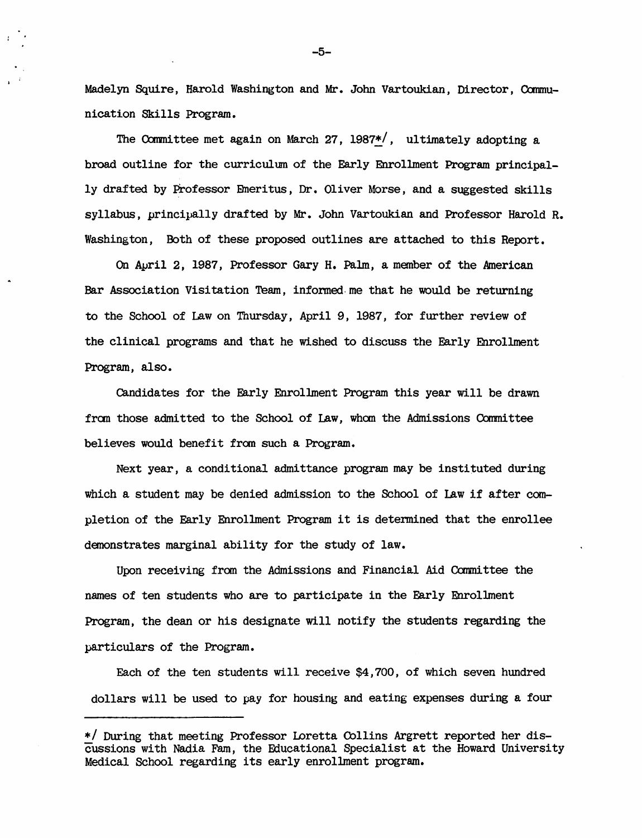Madelyn Squire, Harold Washington and Mr. John Vartoukian, Director, Communication Skills Program.

The Committee met again on March 27, 1987<sup>\*</sup>/, ultimately adopting a broad outline for the curriculum of the Early Enrollment Program principally drafted by Professor Emeritus, Dr. Oliver Morse, and a suggested skills syllabus, principally drafted by Mr. John Vartoukian and Professor Harold R. Washington, Both of these proposed outlines are attached to this Report.

On Auril 2, 1987, Professor Gary H. Palm, a member of the American Bar Association Visitation Team, infonned· me that he would be returning to the School of Law on Thursday, April 9, 1987, for further review of the clinical programs and that he wished to discuss the Early Enrollment Program, also.

candidates for the Early Enrollment Program this year will be drawn from those admitted to the School of Law, whom the Admissions Committee believes would benefit from such a Program.

Next year, a conditional admittance program may be instituted during which a student may be denied admission to the School of Law if after completion of the Early Enrollment Program it is determined that the enrollee demonstrates marginal ability for the study of law.

Upon receiving from the Admissions and Financial Aid Committee the names of ten students who are to participate in the Early Enrollment Program, the dean or his designate will notify the students regarding the particulars of the Program.

Each of the ten students will receive \$4,700, of which seven hundred dollars will be used to pay for housing and eating expenses during a four

-5-

*<sup>\*1</sup>* During that meeting Professor Loretta Oollins Argrett reported her discussions with Nadia Fam, the Educational Specialist at the Howard University Medical School regarding its early enrollment program.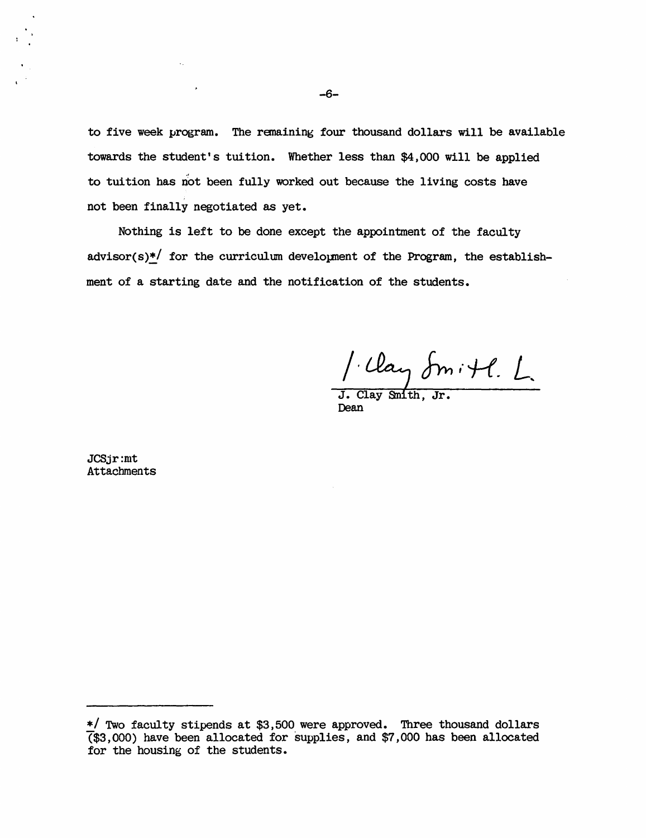to five week program. The remaining four thousand dollars will be available towards the student's tuition. Whether less than \$4,000 will be applied to tuition has not been fully worked out because the living costs have not been finally negotiated as yet.

Nothing is left to be done except the appointment of the faculty advisor(s)\*/ for the curriculum development of the Program, the establishment of a starting date and the notification of the students.

1. Clay Smith. L.

Dean

JCSjr:mt Attachments

*<sup>\*1</sup>* Two faculty stipends at \$3,500 were approved. Three thousand dollars (\$3,000) have been allocated for supplies, and \$7,000 has been allocated for the housing of the students.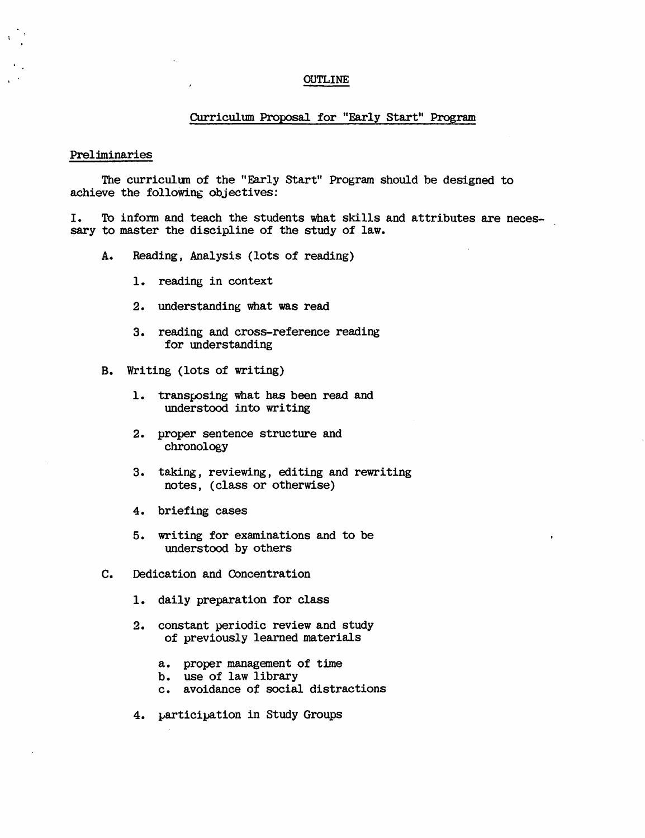#### OUTLINE

### Curriculum Proposal for "Early Start" Program

#### Preliminaries

The curriculum of the "Early Start" Program should be designed to achieve the following objectives:

I. To infonn and teach the students what skills and attributes are necessary to master the discipline of the study of law.

- A. Reading, Analysis (lots of reading)
	- 1. reading in context
	- 2. understanding what was read
	- 3. reading and cross-reference reading for understanding
- B. Writing (lots of writing)
	- 1. transposing what has been read and understood into writing
	- 2. proper sentence structure and chronology
	- 3. taking, reviewing, editing and rewriting notes, (class or otherwise)
	- 4. briefing cases
	- 5. writing for examinations and to be understood by others
- c. Dedication and Concentration
	- 1. daily preparation for class
	- 2. constant periodic review and study of previously learned materials
		- a. proper management of time
		- b. use of law library
		- c. avoidance of social distractions
	- 4. participation in Study Groups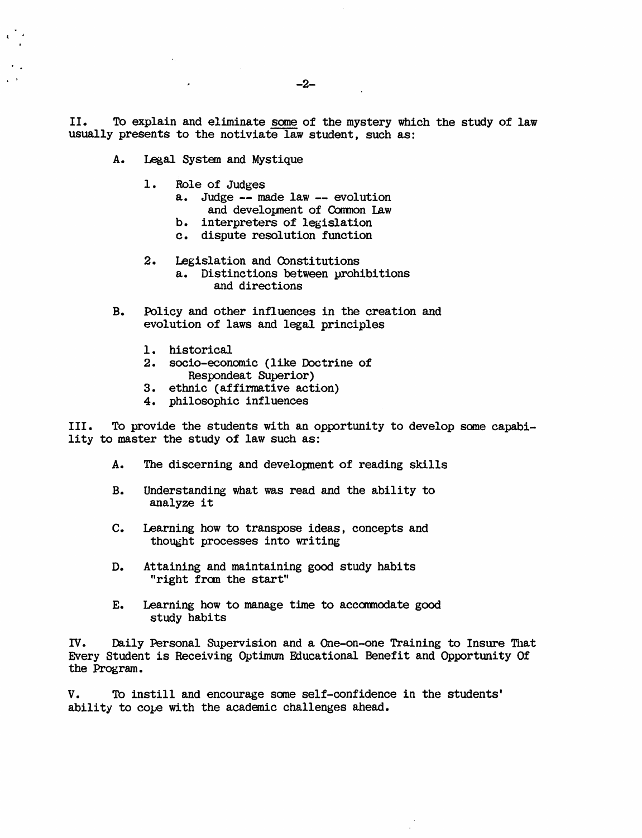II. To explain and eliminate some of the mystery which the study of law usually presents to the notiviate law student, such as:

A. Legal System and Mystique

 $\mathbf{C}$ 

- 1. Role of Judges
	- a. Judge -- made law -- evolution and development of Common Law
	- b. interpreters of legislation
	- c. dispute resolution function
- 2. Legislation and Oonstitutions a. Distinctions between prohibitions and directions
- B. Policy and other influences in the creation and evolution of laws and legal principles
	- 1. historical
	- 2. socio-economic (like Doctrine of Respondeat Superior)
	- 3. ethnic (affirmative action)
	- 4. philosophic influences

III. To provide the students with an opportunity to develop same capability to master the study of law such as:

- A. The discerning and development of reading skills
- B. Understanding what was read and the ability to analyze it
- c. Learning how to transpose ideas, concepts and thought processes into writing
- D. Attaining and maintaining good study habits "right from the start"
- E. Learning how to manage time to accarmodate good study habits

IV. Daily Personal Supervision and a One-on-one Training to Insure That Every Student is Receiving Optimum Fducational Benefit and Opportunity Of the Program.

V. To instill and encourage some self-confidence in the students' ability to cope with the academic challenges ahead.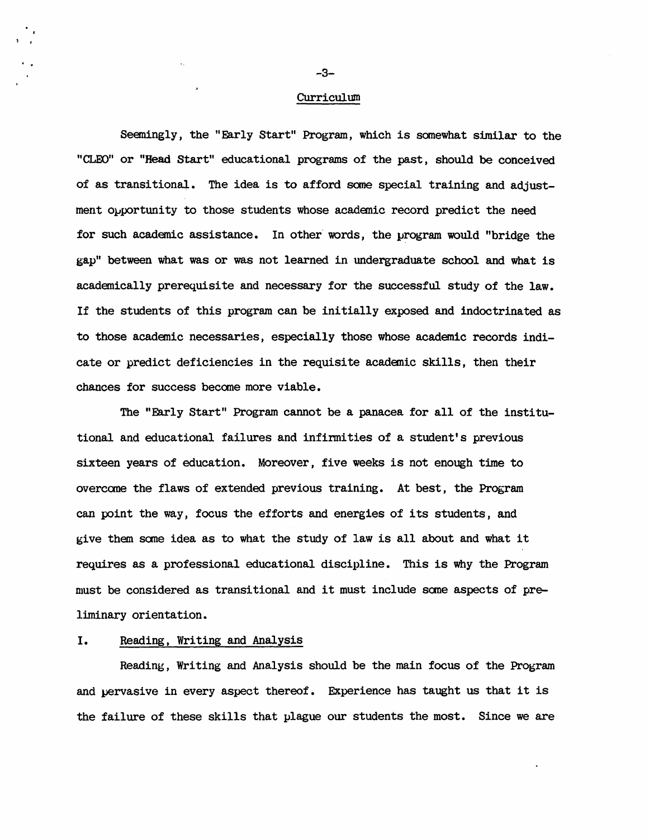#### **Curriculum**

Seaningly, the "Early Start" Program, which is somewhat similar to the "CLEO" or "Head Start" educational programs of the past, should be conceived of as transitional. The idea is to afford some special training and adjustment opportunity to those students whose academic record predict the need for such academic assistance. In other words, the program would "bridge the gap" between what was or was not learned in undergraduate school and what is academically prerequisite and necessary for the successful study of the law. If the students of this program can be initially exposed and indoctrinated as to those academic necessaries, especially those whose academic records indicate or predict deficiencies in the requisite academic skills, then their chances for success became more viable.

The "Early Start" Program cannot be a panacea for all of the institutional and educational failures and infirmities of a student's previous sixteen years of education. Moreover , five weeks is not enough time to overcome the flaws of extended previous training. At best, the Program can point the way, focus the efforts and energies of its students, and give them same idea as to what the study of law is all about and what it requires as a professional educational discipline. This is why the Program must be considered as transitional and it must include some aspects of preliminary orientation.

# I. Reading, Writing and Analysis

Reading, Writing and Analysis should be the main focus of the Program and pervasive in every aspect thereof. Experience has taught us that it is the failure of these skills that plague our students the most. Since we are

· . -3-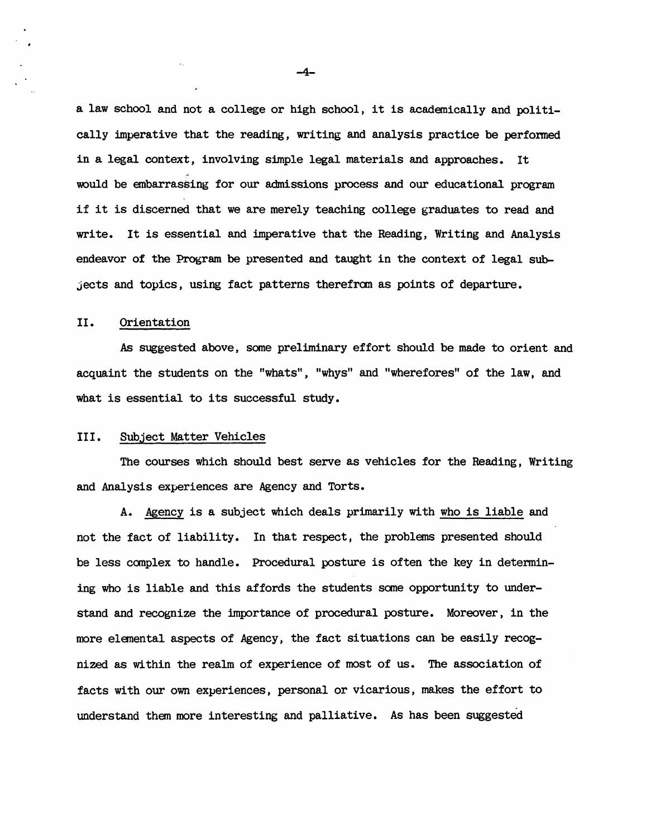a law school and not a college or high school, it is academically and politically imperative that the reading, writing and analysis practice be perfonmed in a legal context, involving simple legal materials and approaches. It would be embarrassing for our admissions process and our educational program if it is discerned that we are merely teaching college graduates to read and write. It is essential and imperative that the Reading, Writing and Analysis endeavor of the Program be presented and taught in the context of legal sub $j$ ects and topics, using fact patterns therefrom as points of departure.

## II. Orientation

As suggested above, some preliminary effort should be made to orient and acquaint the students on the "whats", "whys" and "wherefores" of the law, and what is essential to its successful study.

## III. Subject Matter Vehicles

 $\ddotsc$ 

The courses which should best serve as vehicles for the Reading, Writing and Analysis experiences are Agency and Torts.

A. Agency is a subject which deals primarily with who is liable and not the fact of liability. In that respect, the problems presented should be less complex to handle. Procedural posture is often the key in determining who is liable and this affords the students same opportunity to understand and recognize the importance of procedural posture. Moreover, in the more elemental aspects of Agency, the fact situations can be easily recognized as wi thin the realm of experience of most of us. The association of facts with our own experiences, personal or vicarious, makes the effort to understand them more interesting and palliative. As has been suggested

-4-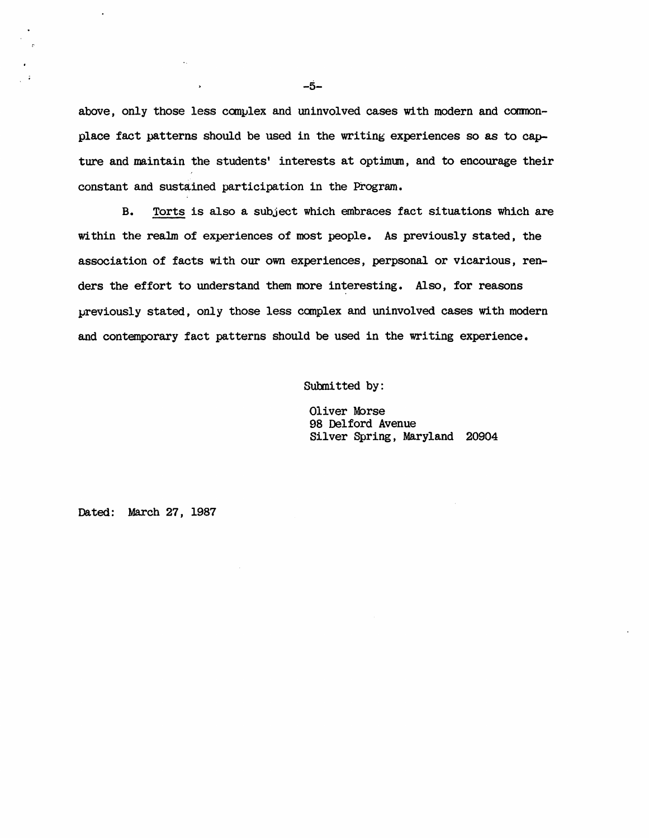above, only those less complex and uninvolved cases with modern and commonplace fact patterns should be used in the writing experiences so as to capture and maintain the students' interests at optimun, and to encourage their constant and sustained participation in the Program.

B. Torts is also a subject which embraces fact situations which are within the realm of experiences of most people. As previously stated, the association of facts with our own experiences, perpsonal or vicarious, renders the effort to understand them more interesting. Also, for reasons previously stated, only those less canplex and uninvolved cases with modern and contemporary fact patterns should be used in the writing experience.

Submitted by:

Oliver Morse 98 Delford Avenue Silver Spring, Maryland 20904

Dated: March 27, 1987

 $\mathbf{L}$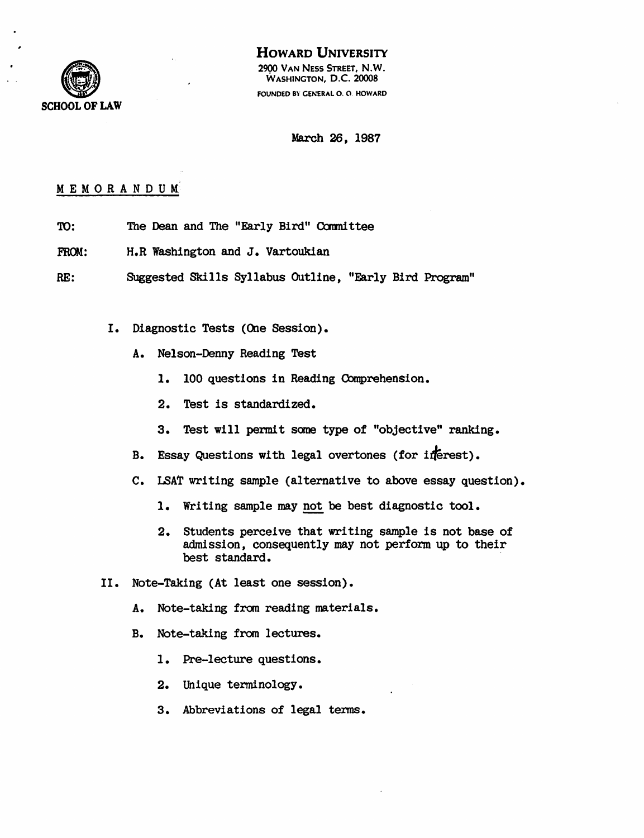

# HOWARD UNIVERSITY

2900 VAN NESS STREET, N.W. WASHINGTON, D.C. 20008 FOUNDED BY CENERAL O. 0 HOWARD

March 26, 1987

# MEMORANDUM<sup>®</sup>

- TO: The Dean and The "Early Bird" Committee
- FROM: H.R Washington and J. Vartoukian
- RE: Suggested Skills Syllabus Outline, "Early Bird Program"
	- I. Diagnostic Tests (One Session).
		- A. Nelson-Denny Reading Test
			- 1. 100 questions in Reading Comprehension.
			- 2. Test is standardized.
			- 3. Test will pennit some type of "objective" ranking.
		- B. Essay Questions with legal overtones (for inerest).
		- C. LSAT writing sample (alternative to above essay question).
			- 1. Writing sample may not be best diagnostic tool.
			- 2. Students perceive that writing sample is not base of admission, consequently may not perform up to their best standard.
	- II. Note-Taking (At least one session).
		- A. Note-taking from reading materials.
		- B. Note-taking from lectures.
			- 1. Pre-lecture questions.
			- 2. Unique terminology.
			- 3. Abbreviations of legal tenns.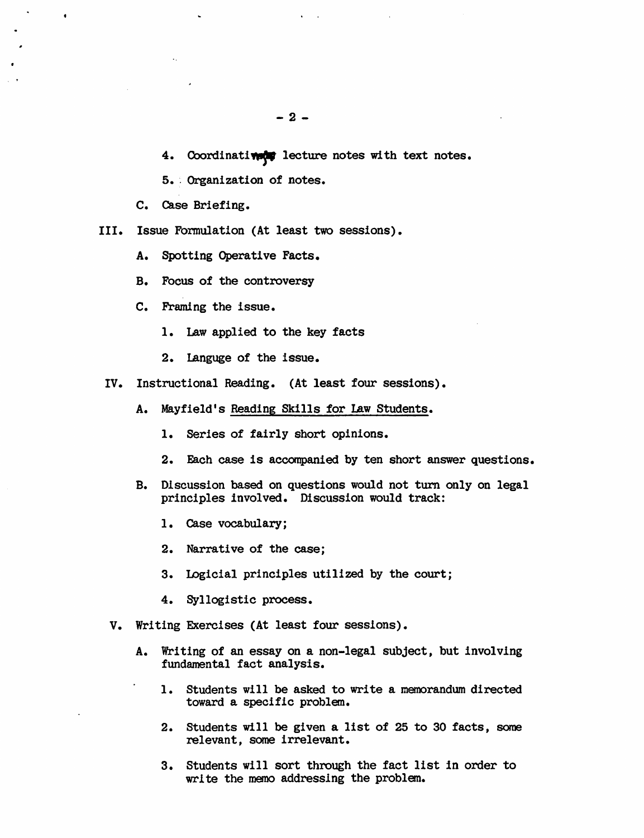4. Coordinatively lecture notes with text notes.

5.. Organization of notes.

c. Case Briefing.

 $\ddot{\bullet}$ 

- III. Issue Formulation (At least two sessions).
	- A. Spotting Operative Facts.
	- B. Focus of the controversy
	- C. Framing the issue.
		- 1. Law applied to the key facts
		- 2. lAnguge of the issue.
- IV. Instructional Reading. (At least four sessions).
	- A. Mayfield's Reading Skills for Law Students.
		- 1. Series of fairly short opinions.
		- 2. Each case is accompanied by ten short answer questions.
	- B. Discussion based on questions would not turn only on legal principles involved. Discussion would track:
		- 1. Case vocabulary;
		- 2. Narrative of the case;
		- 3. Logicial principles utilized by the court;
		- 4. Syllogistic process.
- V. Writing Exercises (At least four sessions).
	- A. Writing of an essay on a non-legal subject, but involving fundamental fact analysis.
		- 1. Students will be asked to write a memorandum directed toward a specific problem.
		- 2. Students will be given a list of 25 to 30 facts, some relevant, some irrelevant.
		- 3. Students will sort through the fact list in order to write the memo addressing the problem.